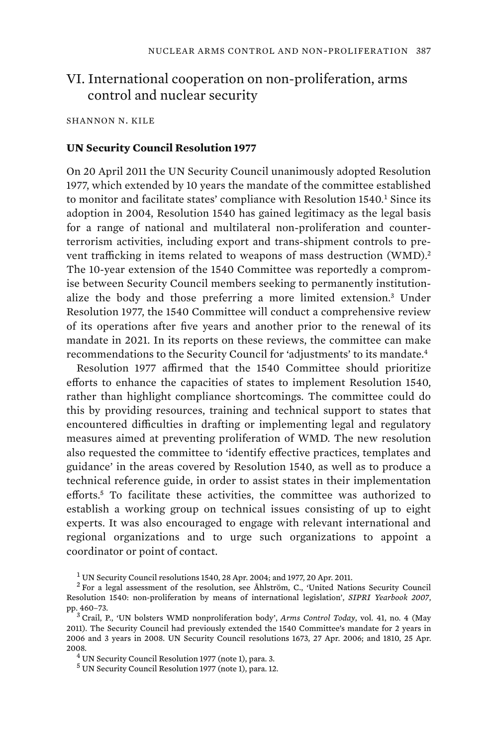## VI. International cooperation on non-proliferation, arms control and nuclear security

SHANNON N. KILE

## **UN Security Council Resolution 1977**

On 20 April 2011 the UN Security Council unanimously adopted Resolution 1977, which extended by 10 years the mandate of the committee established to monitor and facilitate states' compliance with Resolution  $1540<sup>1</sup>$  Since its adoption in 2004, Resolution 1540 has gained legitimacy as the legal basis for a range of national and multilateral non-proliferation and counterterrorism activities, including export and trans-shipment controls to prevent trafficking in items related to weapons of mass destruction (WMD).<sup>2</sup> The 10-year extension of the 1540 Committee was reportedly a compromise between Security Council members seeking to permanently institutionalize the body and those preferring a more limited extension.<sup>3</sup> Under Resolution 1977, the 1540 Committee will conduct a comprehensive review of its operations after five years and another prior to the renewal of its mandate in 2021. In its reports on these reviews, the committee can make recommendations to the Security Council for 'adjustments' to its mandate.<sup>4</sup>

Resolution 1977 affirmed that the 1540 Committee should prioritize efforts to enhance the capacities of states to implement Resolution 1540, rather than highlight compliance shortcomings. The committee could do this by providing resources, training and technical support to states that encountered difficulties in drafting or implementing legal and regulatory measures aimed at preventing proliferation of WMD. The new resolution also requested the committee to 'identify effective practices, templates and guidance' in the areas covered by Resolution 1540, as well as to produce a technical reference guide, in order to assist states in their implementation efforts.<sup>5</sup> To facilitate these activities, the committee was authorized to establish a working group on technical issues consisting of up to eight experts. It was also encouraged to engage with relevant international and regional organizations and to urge such organizations to appoint a coordinator or point of contact.

<sup>1</sup> UN Security Council resolutions 1540, 28 Apr. 2004; and 1977, 20 Apr. 2011.

<sup>&</sup>lt;sup>2</sup> For a legal assessment of the resolution, see Åhlström, C., 'United Nations Security Council Resolution 1540: non-proliferation by means of international legislation', *SIPRI Yearbook 2007*, pp. 460-73.

Crail, P., 'UN bolsters WMD nonproliferation body', *Arms Control Today*, vol. 41, no. 4 (May 2011). The Security Council had previously extended the 1540 Committee's mandate for 2 years in 2006 and 3 years in 2008. UN Security Council resolutions 1673, 27 Apr. 2006; and 1810, 25 Apr. 2008.

UN Security Council Resolution 1977 (note 1), para. 3.

<sup>5</sup> UN Security Council Resolution 1977 (note 1), para. 12.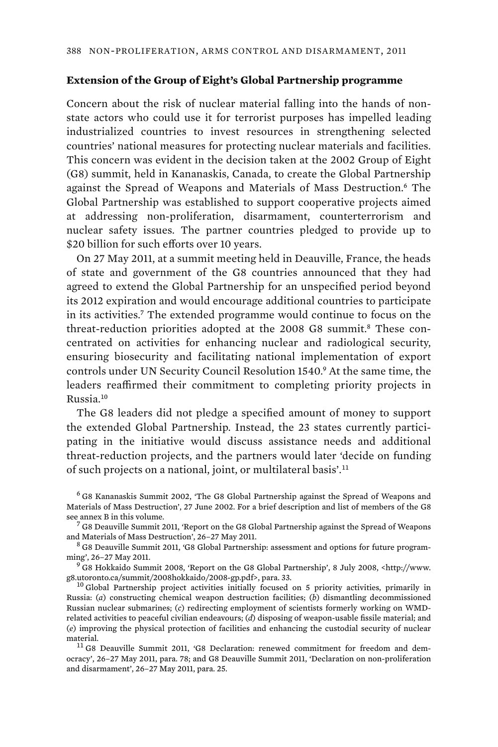## **Extension of the Group of Eight's Global Partnership programme**

Concern about the risk of nuclear material falling into the hands of nonstate actors who could use it for terrorist purposes has impelled leading industrialized countries to invest resources in strengthening selected countries' national measures for protecting nuclear materials and facilities. This concern was evident in the decision taken at the 2002 Group of Eight (G8) summit, held in Kananaskis, Canada, to create the Global Partnership against the Spread of Weapons and Materials of Mass Destruction.<sup>6</sup> The Global Partnership was established to support cooperative projects aimed at addressing non-proliferation, disarmament, counterterrorism and nuclear safety issues. The partner countries pledged to provide up to \$20 billion for such efforts over 10 years.

On 27 May 2011, at a summit meeting held in Deauville, France, the heads of state and government of the G8 countries announced that they had agreed to extend the Global Partnership for an unspecified period beyond its 2012 expiration and would encourage additional countries to participate in its activities.<sup>7</sup> The extended programme would continue to focus on the threat-reduction priorities adopted at the 2008 G8 summit.<sup>8</sup> These concentrated on activities for enhancing nuclear and radiological security, ensuring biosecurity and facilitating national implementation of export controls under UN Security Council Resolution 1540.<sup>9</sup> At the same time, the leaders reaffirmed their commitment to completing priority projects in Russia.<sup>10</sup>

The G8 leaders did not pledge a specified amount of money to support the extended Global Partnership. Instead, the 23 states currently participating in the initiative would discuss assistance needs and additional threat-reduction projects, and the partners would later 'decide on funding of such projects on a national, joint, or multilateral basis'.<sup>11</sup>

6 G8 Kananaskis Summit 2002, 'The G8 Global Partnership against the Spread of Weapons and Materials of Mass Destruction', 27 June 2002. For a brief description and list of members of the G8 see annex B in this volume.

 ${\rm ^7}$  G8 Deauville Summit 2011, 'Report on the G8 Global Partnership against the Spread of Weapons and Materials of Mass Destruction', 26-27 May 2011.

 G8 Deauville Summit 2011, 'G8 Global Partnership: assessment and options for future programming', 26–27 May 2011. <sup>9</sup>

 G8 Hokkaido Summit 2008, 'Report on the G8 Global Partnership', 8 July 2008, <http://www. g8.utoronto.ca/summit/2008hokkaido/2008-gp.pdf>, para. 33. 10 Global Partnership project activities initially focused on 5 priority activities, primarily in

Russia: (*a*) constructing chemical weapon destruction facilities; (*b*) dismantling decommissioned Russian nuclear submarines; (*c*) redirecting employment of scientists formerly working on WMDrelated activities to peaceful civilian endeavours; (*d*) disposing of weapon-usable fissile material; and (*e*) improving the physical protection of facilities and enhancing the custodial security of nuclear material.  $11$  G8 Deauville Summit 2011, 'G8 Declaration: renewed commitment for freedom and dem-

ocracy', 26–27 May 2011, para. 78; and G8 Deauville Summit 2011, 'Declaration on non-proliferation and disarmament', 26–27 May 2011, para. 25.